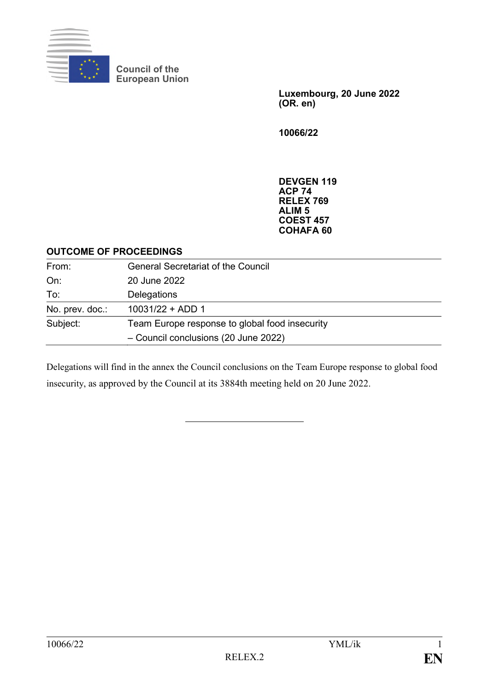

**Council of the European Union**

> **Luxembourg, 20 June 2022 (OR. en)**

**10066/22**

**DEVGEN 119 ACP 74 RELEX 769 ALIM 5 COEST 457 COHAFA 60**

## **OUTCOME OF PROCEEDINGS**

| From:           | <b>General Secretariat of the Council</b>      |
|-----------------|------------------------------------------------|
| On:             | 20 June 2022                                   |
| To:             | Delegations                                    |
| No. prev. doc.: | $10031/22 + ADD 1$                             |
| Subject:        | Team Europe response to global food insecurity |
|                 | - Council conclusions (20 June 2022)           |

Delegations will find in the annex the Council conclusions on the Team Europe response to global food insecurity, as approved by the Council at its 3884th meeting held on 20 June 2022.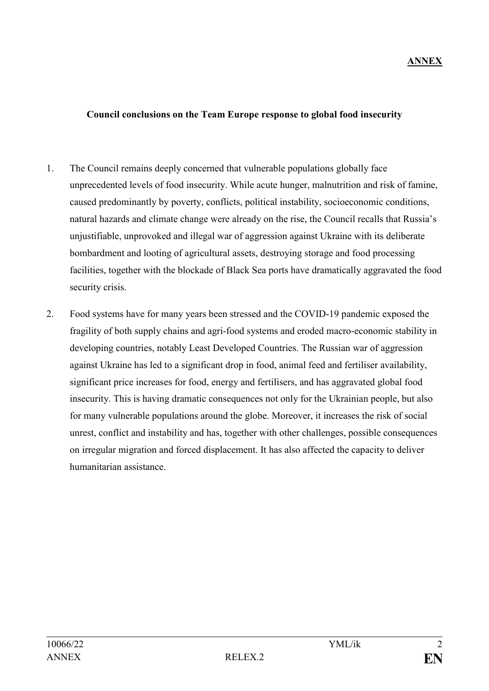## **ANNEX**

## **Council conclusions on the Team Europe response to global food insecurity**

- 1. The Council remains deeply concerned that vulnerable populations globally face unprecedented levels of food insecurity. While acute hunger, malnutrition and risk of famine, caused predominantly by poverty, conflicts, political instability, socioeconomic conditions, natural hazards and climate change were already on the rise, the Council recalls that Russia's unjustifiable, unprovoked and illegal war of aggression against Ukraine with its deliberate bombardment and looting of agricultural assets, destroying storage and food processing facilities, together with the blockade of Black Sea ports have dramatically aggravated the food security crisis.
- 2. Food systems have for many years been stressed and the COVID-19 pandemic exposed the fragility of both supply chains and agri-food systems and eroded macro-economic stability in developing countries, notably Least Developed Countries. The Russian war of aggression against Ukraine has led to a significant drop in food, animal feed and fertiliser availability, significant price increases for food, energy and fertilisers, and has aggravated global food insecurity. This is having dramatic consequences not only for the Ukrainian people, but also for many vulnerable populations around the globe. Moreover, it increases the risk of social unrest, conflict and instability and has, together with other challenges, possible consequences on irregular migration and forced displacement. It has also affected the capacity to deliver humanitarian assistance.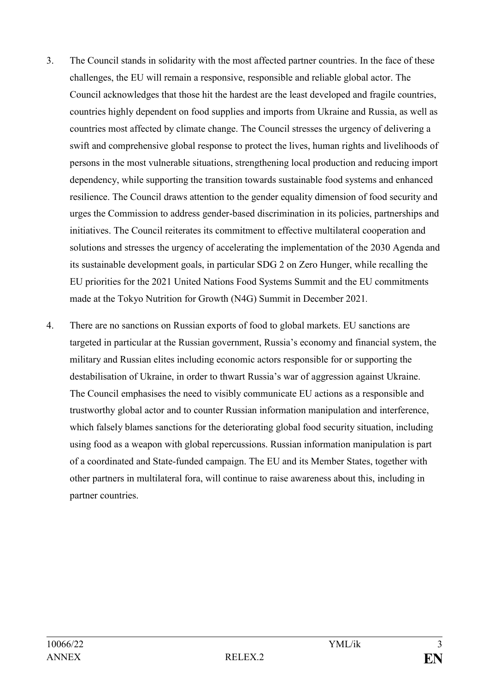- 3. The Council stands in solidarity with the most affected partner countries. In the face of these challenges, the EU will remain a responsive, responsible and reliable global actor. The Council acknowledges that those hit the hardest are the least developed and fragile countries, countries highly dependent on food supplies and imports from Ukraine and Russia, as well as countries most affected by climate change. The Council stresses the urgency of delivering a swift and comprehensive global response to protect the lives, human rights and livelihoods of persons in the most vulnerable situations, strengthening local production and reducing import dependency, while supporting the transition towards sustainable food systems and enhanced resilience. The Council draws attention to the gender equality dimension of food security and urges the Commission to address gender-based discrimination in its policies, partnerships and initiatives. The Council reiterates its commitment to effective multilateral cooperation and solutions and stresses the urgency of accelerating the implementation of the 2030 Agenda and its sustainable development goals, in particular SDG 2 on Zero Hunger, while recalling the EU priorities for the 2021 United Nations Food Systems Summit and the EU commitments made at the Tokyo Nutrition for Growth (N4G) Summit in December 2021*.*
- 4. There are no sanctions on Russian exports of food to global markets. EU sanctions are targeted in particular at the Russian government, Russia's economy and financial system, the military and Russian elites including economic actors responsible for or supporting the destabilisation of Ukraine, in order to thwart Russia's war of aggression against Ukraine. The Council emphasises the need to visibly communicate EU actions as a responsible and trustworthy global actor and to counter Russian information manipulation and interference, which falsely blames sanctions for the deteriorating global food security situation, including using food as a weapon with global repercussions. Russian information manipulation is part of a coordinated and State-funded campaign. The EU and its Member States, together with other partners in multilateral fora, will continue to raise awareness about this, including in partner countries.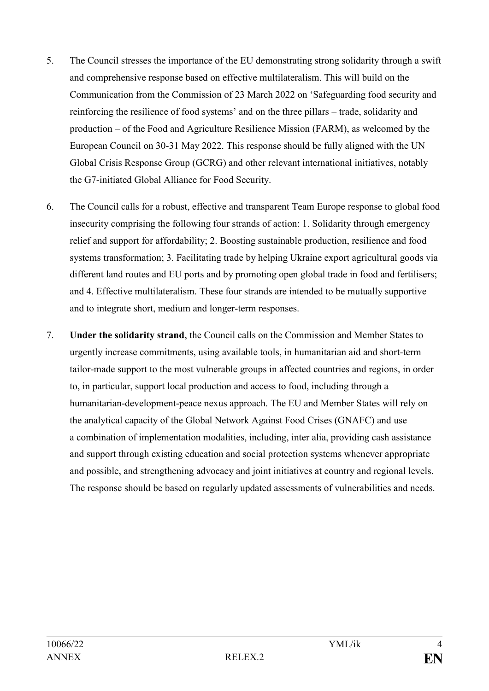- 5. The Council stresses the importance of the EU demonstrating strong solidarity through a swift and comprehensive response based on effective multilateralism. This will build on the Communication from the Commission of 23 March 2022 on 'Safeguarding food security and reinforcing the resilience of food systems' and on the three pillars – trade, solidarity and production – of the Food and Agriculture Resilience Mission (FARM), as welcomed by the European Council on 30-31 May 2022. This response should be fully aligned with the UN Global Crisis Response Group (GCRG) and other relevant international initiatives, notably the G7-initiated Global Alliance for Food Security.
- 6. The Council calls for a robust, effective and transparent Team Europe response to global food insecurity comprising the following four strands of action: 1. Solidarity through emergency relief and support for affordability; 2. Boosting sustainable production, resilience and food systems transformation; 3. Facilitating trade by helping Ukraine export agricultural goods via different land routes and EU ports and by promoting open global trade in food and fertilisers; and 4. Effective multilateralism. These four strands are intended to be mutually supportive and to integrate short, medium and longer-term responses.
- 7. **Under the solidarity strand**, the Council calls on the Commission and Member States to urgently increase commitments, using available tools, in humanitarian aid and short-term tailor-made support to the most vulnerable groups in affected countries and regions, in order to, in particular, support local production and access to food, including through a humanitarian-development-peace nexus approach. The EU and Member States will rely on the analytical capacity of the Global Network Against Food Crises (GNAFC) and use a combination of implementation modalities, including, inter alia, providing cash assistance and support through existing education and social protection systems whenever appropriate and possible, and strengthening advocacy and joint initiatives at country and regional levels. The response should be based on regularly updated assessments of vulnerabilities and needs.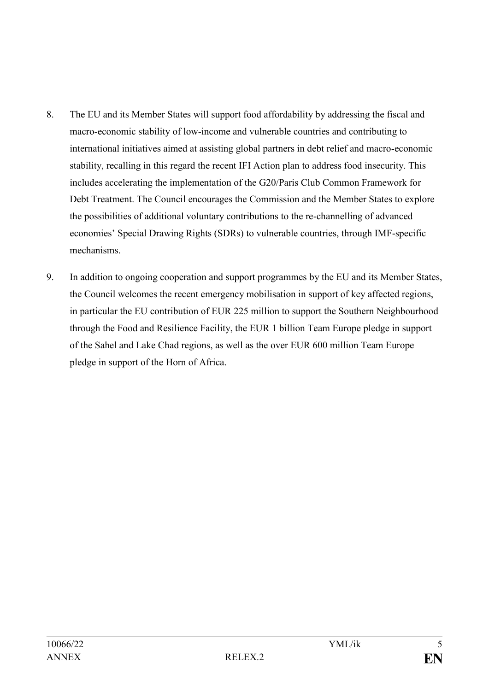- 8. The EU and its Member States will support food affordability by addressing the fiscal and macro-economic stability of low-income and vulnerable countries and contributing to international initiatives aimed at assisting global partners in debt relief and macro-economic stability, recalling in this regard the recent IFI Action plan to address food insecurity. This includes accelerating the implementation of the G20/Paris Club Common Framework for Debt Treatment. The Council encourages the Commission and the Member States to explore the possibilities of additional voluntary contributions to the re-channelling of advanced economies' Special Drawing Rights (SDRs) to vulnerable countries, through IMF-specific mechanisms.
- 9. In addition to ongoing cooperation and support programmes by the EU and its Member States, the Council welcomes the recent emergency mobilisation in support of key affected regions, in particular the EU contribution of EUR 225 million to support the Southern Neighbourhood through the Food and Resilience Facility, the EUR 1 billion Team Europe pledge in support of the Sahel and Lake Chad regions, as well as the over EUR 600 million Team Europe pledge in support of the Horn of Africa.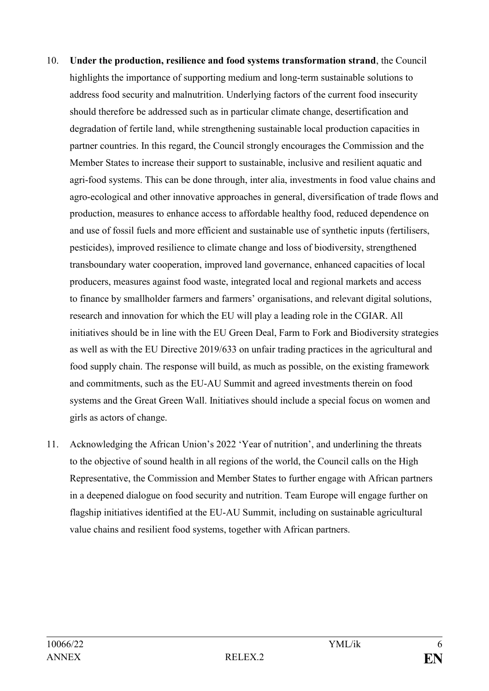- 10. **Under the production, resilience and food systems transformation strand**, the Council highlights the importance of supporting medium and long-term sustainable solutions to address food security and malnutrition. Underlying factors of the current food insecurity should therefore be addressed such as in particular climate change, desertification and degradation of fertile land, while strengthening sustainable local production capacities in partner countries. In this regard, the Council strongly encourages the Commission and the Member States to increase their support to sustainable, inclusive and resilient aquatic and agri-food systems. This can be done through, inter alia, investments in food value chains and agro-ecological and other innovative approaches in general, diversification of trade flows and production, measures to enhance access to affordable healthy food, reduced dependence on and use of fossil fuels and more efficient and sustainable use of synthetic inputs (fertilisers, pesticides), improved resilience to climate change and loss of biodiversity, strengthened transboundary water cooperation, improved land governance, enhanced capacities of local producers, measures against food waste, integrated local and regional markets and access to finance by smallholder farmers and farmers' organisations, and relevant digital solutions, research and innovation for which the EU will play a leading role in the CGIAR. All initiatives should be in line with the EU Green Deal, Farm to Fork and Biodiversity strategies as well as with the EU Directive 2019/633 on unfair trading practices in the agricultural and food supply chain. The response will build, as much as possible, on the existing framework and commitments, such as the EU-AU Summit and agreed investments therein on food systems and the Great Green Wall. Initiatives should include a special focus on women and girls as actors of change.
- 11. Acknowledging the African Union's 2022 'Year of nutrition', and underlining the threats to the objective of sound health in all regions of the world, the Council calls on the High Representative, the Commission and Member States to further engage with African partners in a deepened dialogue on food security and nutrition. Team Europe will engage further on flagship initiatives identified at the EU-AU Summit, including on sustainable agricultural value chains and resilient food systems, together with African partners.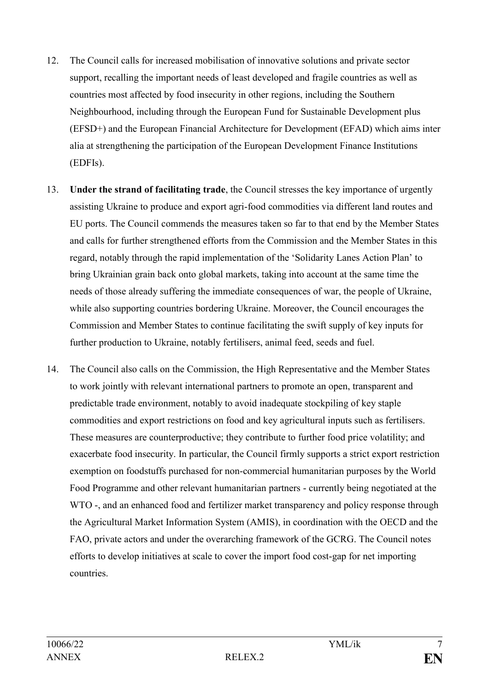- 12. The Council calls for increased mobilisation of innovative solutions and private sector support, recalling the important needs of least developed and fragile countries as well as countries most affected by food insecurity in other regions, including the Southern Neighbourhood, including through the European Fund for Sustainable Development plus (EFSD+) and the European Financial Architecture for Development (EFAD) which aims inter alia at strengthening the participation of the European Development Finance Institutions (EDFIs).
- 13. **Under the strand of facilitating trade**, the Council stresses the key importance of urgently assisting Ukraine to produce and export agri-food commodities via different land routes and EU ports. The Council commends the measures taken so far to that end by the Member States and calls for further strengthened efforts from the Commission and the Member States in this regard, notably through the rapid implementation of the 'Solidarity Lanes Action Plan' to bring Ukrainian grain back onto global markets, taking into account at the same time the needs of those already suffering the immediate consequences of war, the people of Ukraine, while also supporting countries bordering Ukraine. Moreover, the Council encourages the Commission and Member States to continue facilitating the swift supply of key inputs for further production to Ukraine, notably fertilisers, animal feed, seeds and fuel.
- 14. The Council also calls on the Commission, the High Representative and the Member States to work jointly with relevant international partners to promote an open, transparent and predictable trade environment, notably to avoid inadequate stockpiling of key staple commodities and export restrictions on food and key agricultural inputs such as fertilisers. These measures are counterproductive; they contribute to further food price volatility; and exacerbate food insecurity. In particular, the Council firmly supports a strict export restriction exemption on foodstuffs purchased for non-commercial humanitarian purposes by the World Food Programme and other relevant humanitarian partners - currently being negotiated at the WTO -, and an enhanced food and fertilizer market transparency and policy response through the Agricultural Market Information System (AMIS), in coordination with the OECD and the FAO, private actors and under the overarching framework of the GCRG. The Council notes efforts to develop initiatives at scale to cover the import food cost-gap for net importing countries.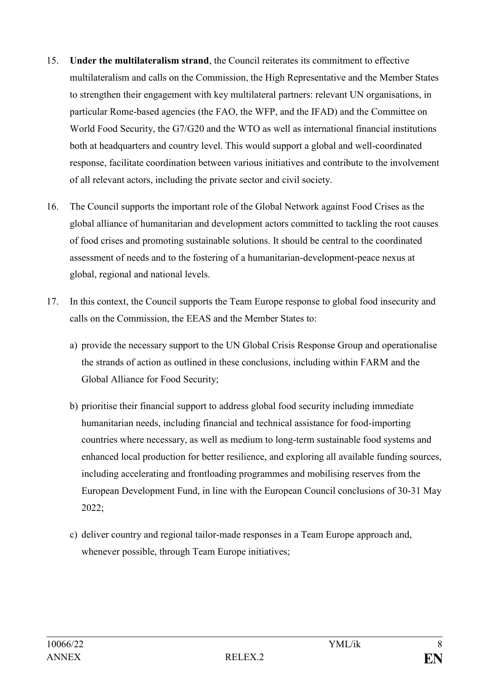- 15. **Under the multilateralism strand**, the Council reiterates its commitment to effective multilateralism and calls on the Commission, the High Representative and the Member States to strengthen their engagement with key multilateral partners: relevant UN organisations, in particular Rome-based agencies (the FAO, the WFP, and the IFAD) and the Committee on World Food Security, the G7/G20 and the WTO as well as international financial institutions both at headquarters and country level. This would support a global and well-coordinated response, facilitate coordination between various initiatives and contribute to the involvement of all relevant actors, including the private sector and civil society.
- 16. The Council supports the important role of the Global Network against Food Crises as the global alliance of humanitarian and development actors committed to tackling the root causes of food crises and promoting sustainable solutions. It should be central to the coordinated assessment of needs and to the fostering of a humanitarian-development-peace nexus at global, regional and national levels.
- 17. In this context, the Council supports the Team Europe response to global food insecurity and calls on the Commission, the EEAS and the Member States to:
	- a) provide the necessary support to the UN Global Crisis Response Group and operationalise the strands of action as outlined in these conclusions, including within FARM and the Global Alliance for Food Security;
	- b) prioritise their financial support to address global food security including immediate humanitarian needs, including financial and technical assistance for food-importing countries where necessary, as well as medium to long-term sustainable food systems and enhanced local production for better resilience, and exploring all available funding sources, including accelerating and frontloading programmes and mobilising reserves from the European Development Fund, in line with the European Council conclusions of 30-31 May 2022;
	- c) deliver country and regional tailor-made responses in a Team Europe approach and, whenever possible, through Team Europe initiatives;